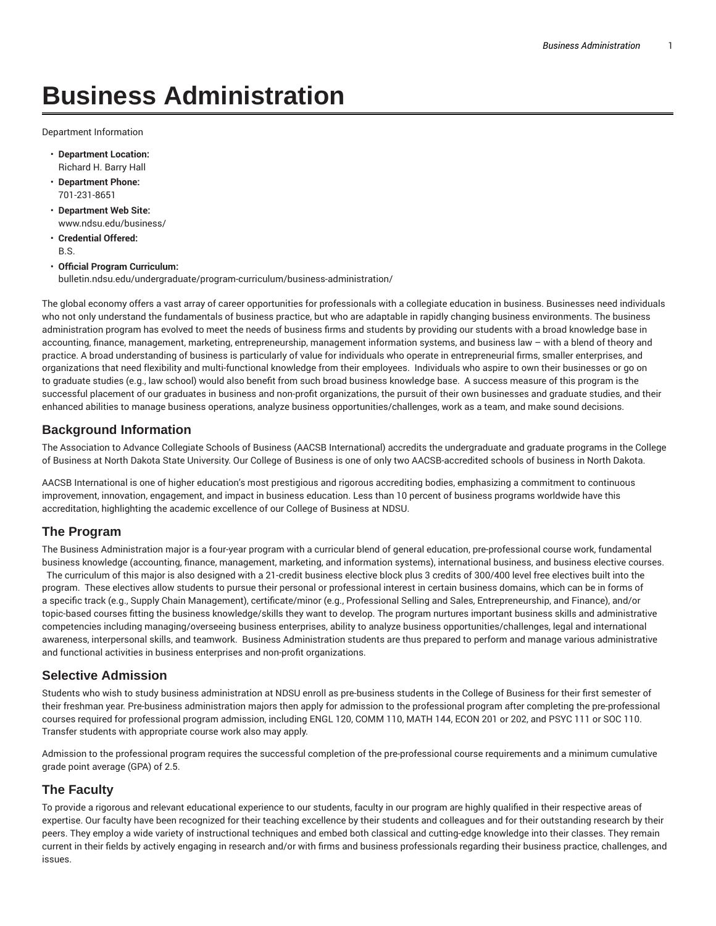# **Business Administration**

Department Information

- **Department Location:** Richard H. Barry Hall
- **Department Phone:** 701-231-8651
- **Department Web Site:** www.ndsu.edu/business/
- **Credential Offered:** B.S.
- **Official Program Curriculum:** bulletin.ndsu.edu/undergraduate/program-curriculum/business-administration/

The global economy offers a vast array of career opportunities for professionals with a collegiate education in business. Businesses need individuals who not only understand the fundamentals of business practice, but who are adaptable in rapidly changing business environments. The business administration program has evolved to meet the needs of business firms and students by providing our students with a broad knowledge base in accounting, finance, management, marketing, entrepreneurship, management information systems, and business law – with a blend of theory and practice. A broad understanding of business is particularly of value for individuals who operate in entrepreneurial firms, smaller enterprises, and organizations that need flexibility and multi-functional knowledge from their employees. Individuals who aspire to own their businesses or go on to graduate studies (e.g., law school) would also benefit from such broad business knowledge base. A success measure of this program is the successful placement of our graduates in business and non-profit organizations, the pursuit of their own businesses and graduate studies, and their enhanced abilities to manage business operations, analyze business opportunities/challenges, work as a team, and make sound decisions.

#### **Background Information**

The Association to Advance Collegiate Schools of Business (AACSB International) accredits the undergraduate and graduate programs in the College of Business at North Dakota State University. Our College of Business is one of only two AACSB-accredited schools of business in North Dakota.

AACSB International is one of higher education's most prestigious and rigorous accrediting bodies, emphasizing a commitment to continuous improvement, innovation, engagement, and impact in business education. Less than 10 percent of business programs worldwide have this accreditation, highlighting the academic excellence of our College of Business at NDSU.

#### **The Program**

The Business Administration major is a four-year program with a curricular blend of general education, pre-professional course work, fundamental business knowledge (accounting, finance, management, marketing, and information systems), international business, and business elective courses. The curriculum of this major is also designed with a 21-credit business elective block plus 3 credits of 300/400 level free electives built into the program. These electives allow students to pursue their personal or professional interest in certain business domains, which can be in forms of a specific track (e.g., Supply Chain Management), certificate/minor (e.g., Professional Selling and Sales, Entrepreneurship, and Finance), and/or topic-based courses fitting the business knowledge/skills they want to develop. The program nurtures important business skills and administrative competencies including managing/overseeing business enterprises, ability to analyze business opportunities/challenges, legal and international awareness, interpersonal skills, and teamwork. Business Administration students are thus prepared to perform and manage various administrative and functional activities in business enterprises and non-profit organizations.

#### **Selective Admission**

Students who wish to study business administration at NDSU enroll as pre-business students in the College of Business for their first semester of their freshman year. Pre-business administration majors then apply for admission to the professional program after completing the pre-professional courses required for professional program admission, including ENGL 120, COMM 110, MATH 144, ECON 201 or 202, and PSYC 111 or SOC 110. Transfer students with appropriate course work also may apply.

Admission to the professional program requires the successful completion of the pre-professional course requirements and a minimum cumulative grade point average (GPA) of 2.5.

#### **The Faculty**

To provide a rigorous and relevant educational experience to our students, faculty in our program are highly qualified in their respective areas of expertise. Our faculty have been recognized for their teaching excellence by their students and colleagues and for their outstanding research by their peers. They employ a wide variety of instructional techniques and embed both classical and cutting-edge knowledge into their classes. They remain current in their fields by actively engaging in research and/or with firms and business professionals regarding their business practice, challenges, and issues.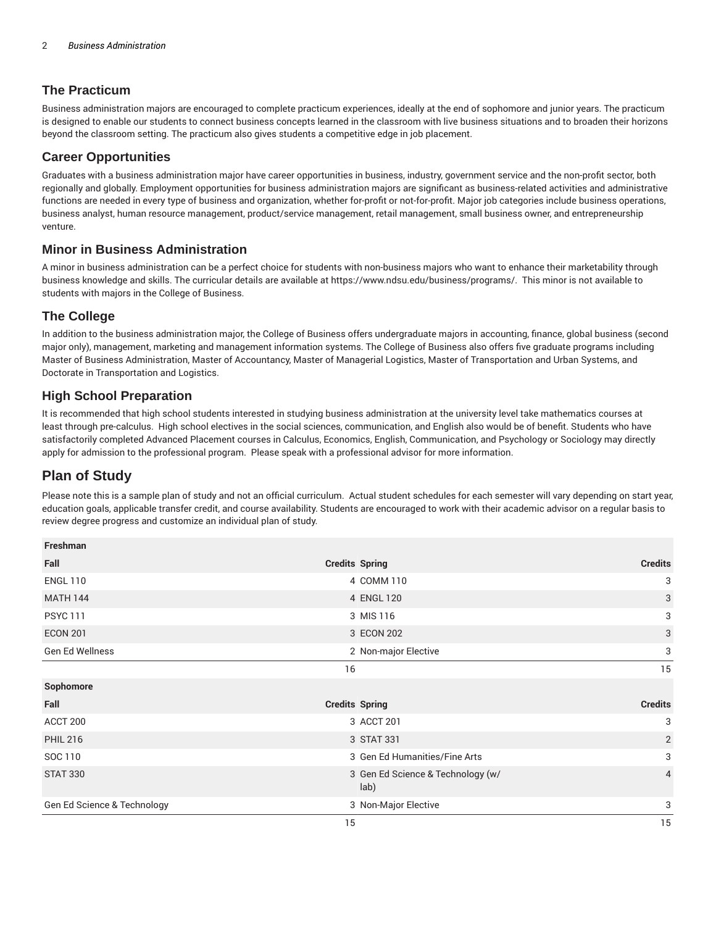### **The Practicum**

Business administration majors are encouraged to complete practicum experiences, ideally at the end of sophomore and junior years. The practicum is designed to enable our students to connect business concepts learned in the classroom with live business situations and to broaden their horizons beyond the classroom setting. The practicum also gives students a competitive edge in job placement.

#### **Career Opportunities**

Graduates with a business administration major have career opportunities in business, industry, government service and the non-profit sector, both regionally and globally. Employment opportunities for business administration majors are significant as business-related activities and administrative functions are needed in every type of business and organization, whether for-profit or not-for-profit. Major job categories include business operations, business analyst, human resource management, product/service management, retail management, small business owner, and entrepreneurship venture.

#### **Minor in Business Administration**

A minor in business administration can be a perfect choice for students with non-business majors who want to enhance their marketability through business knowledge and skills. The curricular details are available at https://www.ndsu.edu/business/programs/. This minor is not available to students with majors in the College of Business.

#### **The College**

In addition to the business administration major, the College of Business offers undergraduate majors in accounting, finance, global business (second major only), management, marketing and management information systems. The College of Business also offers five graduate programs including Master of Business Administration, Master of Accountancy, Master of Managerial Logistics, Master of Transportation and Urban Systems, and Doctorate in Transportation and Logistics.

#### **High School Preparation**

It is recommended that high school students interested in studying business administration at the university level take mathematics courses at least through pre-calculus. High school electives in the social sciences, communication, and English also would be of benefit. Students who have satisfactorily completed Advanced Placement courses in Calculus, Economics, English, Communication, and Psychology or Sociology may directly apply for admission to the professional program. Please speak with a professional advisor for more information.

## **Plan of Study**

Please note this is a sample plan of study and not an official curriculum. Actual student schedules for each semester will vary depending on start year, education goals, applicable transfer credit, and course availability. Students are encouraged to work with their academic advisor on a regular basis to review degree progress and customize an individual plan of study.

| Freshman                    |                                           |                |
|-----------------------------|-------------------------------------------|----------------|
| Fall                        | <b>Credits Spring</b>                     | <b>Credits</b> |
| <b>ENGL 110</b>             | 4 COMM 110                                | 3              |
| <b>MATH 144</b>             | 4 ENGL 120                                | 3              |
| <b>PSYC111</b>              | 3 MIS 116                                 | 3              |
| <b>ECON 201</b>             | 3 ECON 202                                | 3              |
| Gen Ed Wellness             | 2 Non-major Elective                      | 3              |
|                             | 16                                        | 15             |
| Sophomore                   |                                           |                |
| Fall                        | <b>Credits Spring</b>                     | <b>Credits</b> |
| ACCT 200                    | 3 ACCT 201                                | 3              |
| <b>PHIL 216</b>             | 3 STAT 331                                | $\overline{2}$ |
| SOC 110                     | 3 Gen Ed Humanities/Fine Arts             | 3              |
| <b>STAT 330</b>             | 3 Gen Ed Science & Technology (w/<br>lab) | $\overline{4}$ |
| Gen Ed Science & Technology | 3 Non-Major Elective                      | 3              |
|                             | 15                                        | 15             |